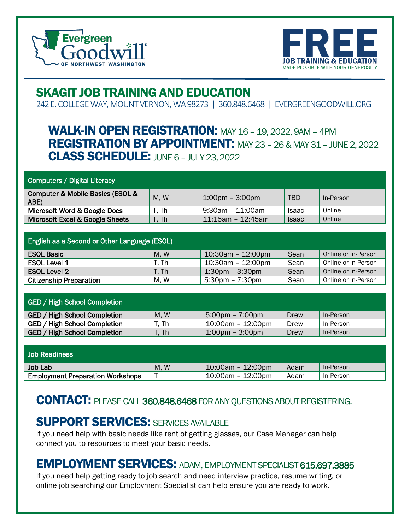



# SKAGIT JOB TRAINING AND EDUCATION

242 E. COLLEGE WAY, MOUNT VERNON, WA 98273 | 360.848.6468 | EVERGREENGOODWILL.ORG

## **WALK-IN OPEN REGISTRATION:** MAY 16 - 19, 2022, 9AM - 4PM REGISTRATION BY APPOINTMENT: MAY 23 –26 & MAY 31 –JUNE 2, 2022 **CLASS SCHEDULE: JUNE 6 - JULY 23, 2022**

#### Computers / Digital Literacy

| Computer & Mobile Basics (ESOL &<br>ABE) | M, W  | $1:00 \text{pm} - 3:00 \text{pm}$ | TBD          | In-Person |
|------------------------------------------|-------|-----------------------------------|--------------|-----------|
| Microsoft Word & Google Docs             | T. Th | 9:30am - 11:00am                  | <b>Isaac</b> | Online    |
| Microsoft Excel & Google Sheets          | T. Th | $11:15$ am - 12:45am              | <b>Isaac</b> | Online    |

| <b>English as a Second or Other Language (ESOL)</b> |       |                                   |      |                     |
|-----------------------------------------------------|-------|-----------------------------------|------|---------------------|
| <b>ESOL Basic</b>                                   | M, W  | 10:30am - 12:00pm                 | Sean | Online or In-Person |
| ESOL Level 1                                        | T. Th | 10:30am - 12:00pm                 | Sean | Online or In-Person |
| <b>ESOL Level 2</b>                                 | T. Th | $1:30 \text{pm} - 3:30 \text{pm}$ | Sean | Online or In-Person |
| <b>Citizenship Preparation</b>                      | M.W   | $5:30 \text{pm} - 7:30 \text{pm}$ | Sean | Online or In-Person |

| <b>GED / High School Completion</b> |       |                                   |      |           |
|-------------------------------------|-------|-----------------------------------|------|-----------|
| GED/<br>High School Completion      | M, W  | $5:00 \text{pm} - 7:00 \text{pm}$ | Drew | In-Person |
| GED / High School Completion        | ד. Th | 10:00am - 12:00pm                 | Drew | In-Person |
| GED/<br>High School Completion      | r. Th | $1:00 \text{pm} - 3:00 \text{pm}$ | Drew | In-Person |

| <b>Job Readiness</b>                    |     |                      |      |           |
|-----------------------------------------|-----|----------------------|------|-----------|
| Job Lab                                 | M.W | $10:00$ am - 12:00pm | Adam | In-Person |
| <b>Employment Preparation Workshops</b> |     | 10:00am - 12:00pm    | Adam | In-Person |

### CONTACT: PLEASE CALL 360.848.6468FOR ANY QUESTIONS ABOUT REGISTERING.

### **SUPPORT SERVICES: SERVICES AVAILABLE**

If you need help with basic needs like rent of getting glasses, our Case Manager can help connect you to resources to meet your basic needs.

#### EMPLOYMENT SERVICES: ADAM, EMPLOYMENT SPECIALIST 615.697.3885

If you need help getting ready to job search and need interview practice, resume writing, or online job searching our Employment Specialist can help ensure you are ready to work.